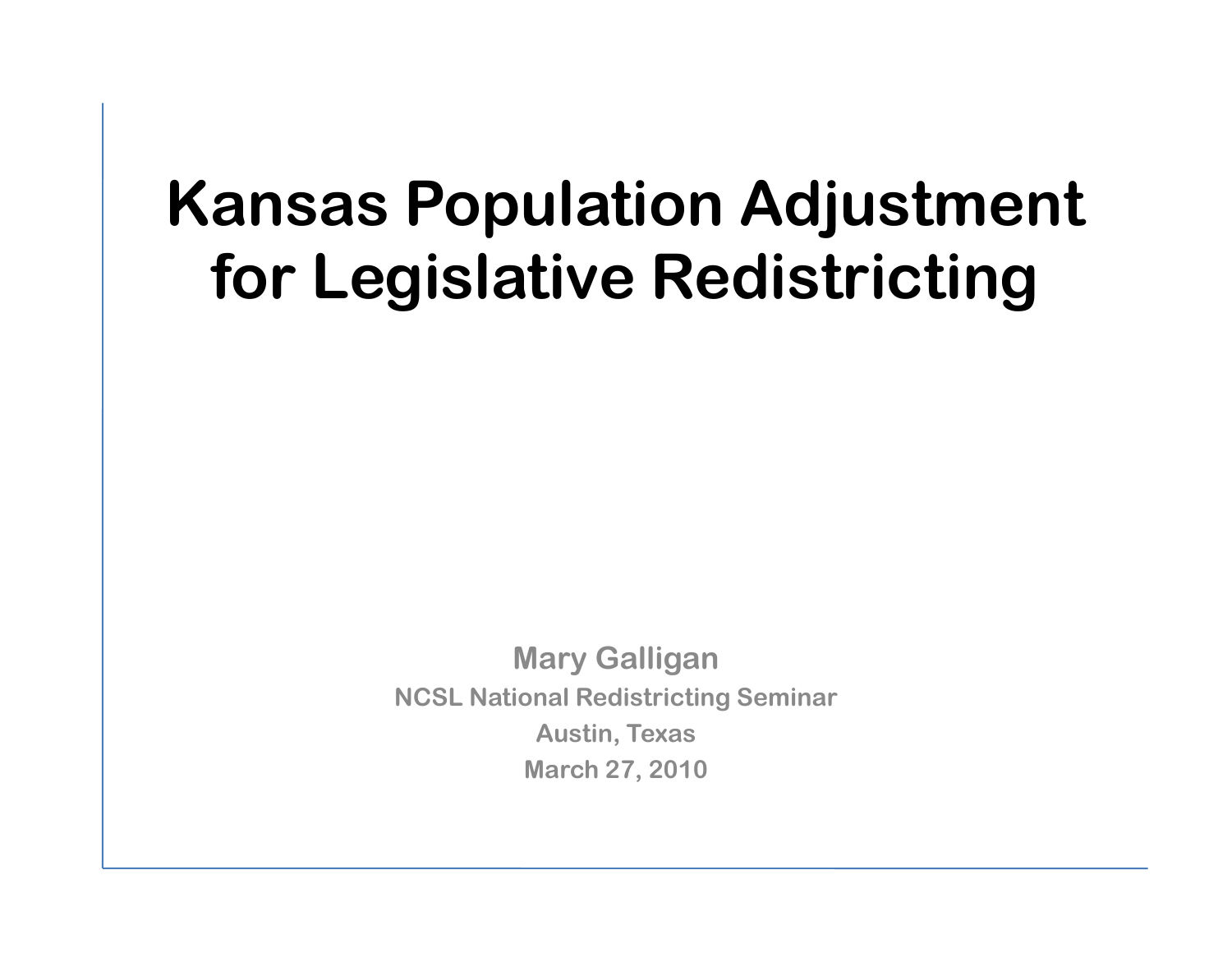## **Kansas Population Adjustment for Legislative Redistricting**

**Mary Galligan NCSL National Redistricting Seminar Austin, Texas March 27, 2010**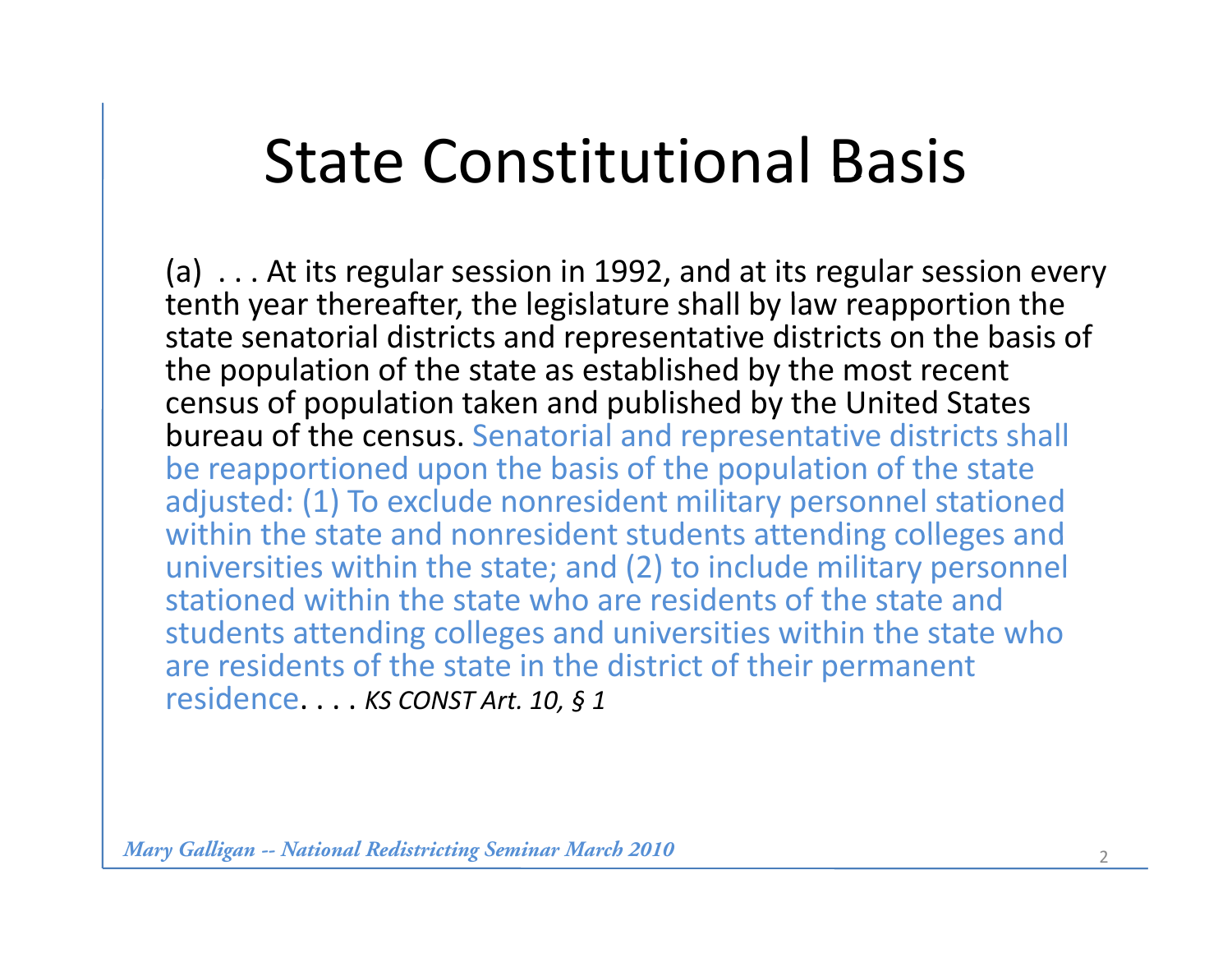## **State Constitutional Basis**

(a) . . . At its regular session in 1992, and at its regular session every tenth year thereafter, the legislature shall by law reapportion the state senatorial districts and representative districts on the basis of the population of the state as established by the most recent census of population taken and published by the United States bureau of the census. Senatorial and representative districts shall be reapportioned upon the basis of the population of the state adjusted: (1) To exclude nonresident military personnel stationed within the state and nonresident students attending colleges and universities within the state; and (2) to include military personnel stationed within the state who are residents of the state and students attending colleges and universities within the state who are residents of the state in the district of their permanent residence. . . . *KS CONST Art. 10, § <sup>1</sup>*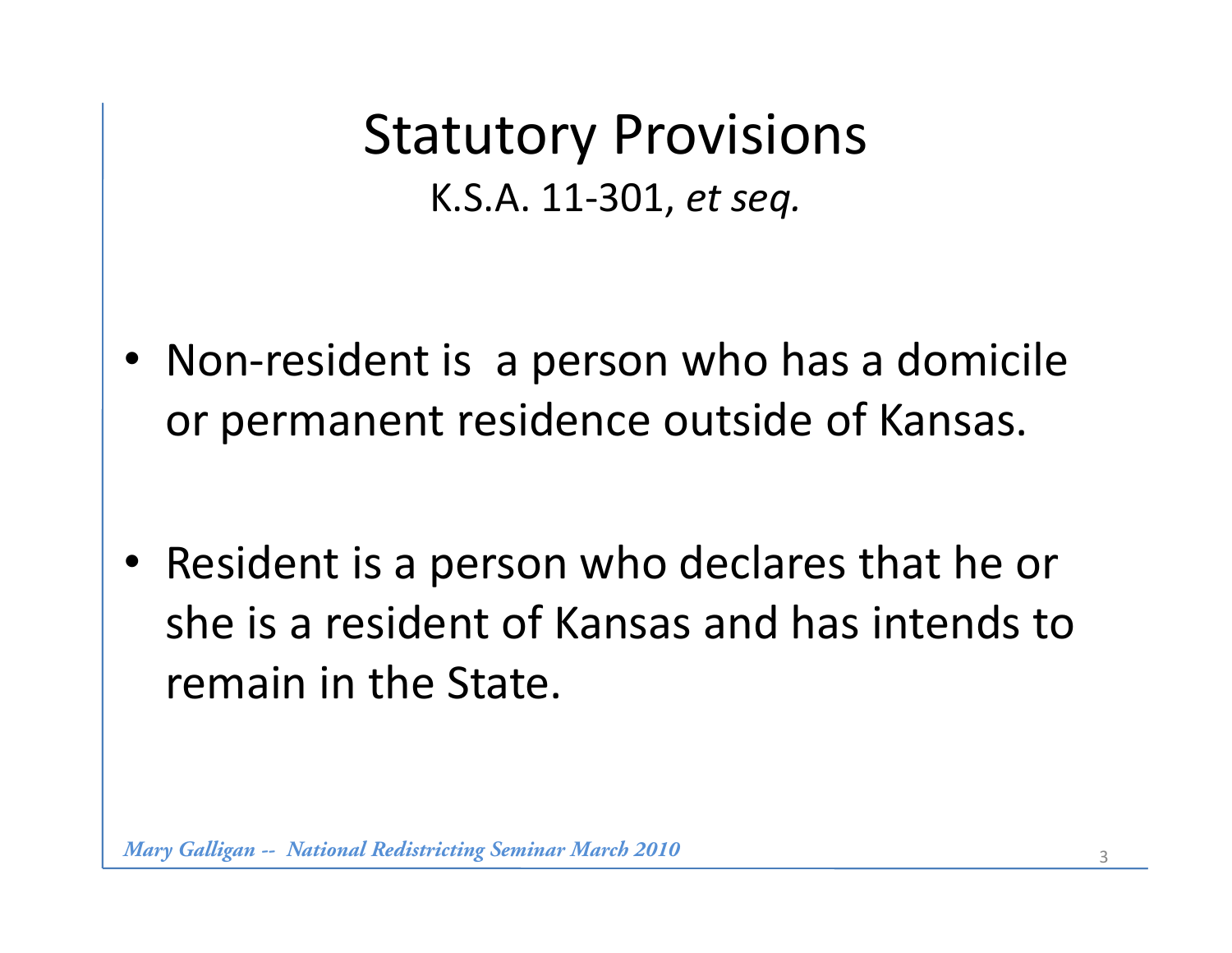Statutory Provisions K.S.A. 11 ‐301, *et seq.*

• Non-resident is a person who has a domicile or permanent residence outside of Kansas.

• Resident is a person who declares that he or she is a resident of Kansas and has intends to remain in the State.

*Mary Galligan -- National Redistricting Seminar March 2010*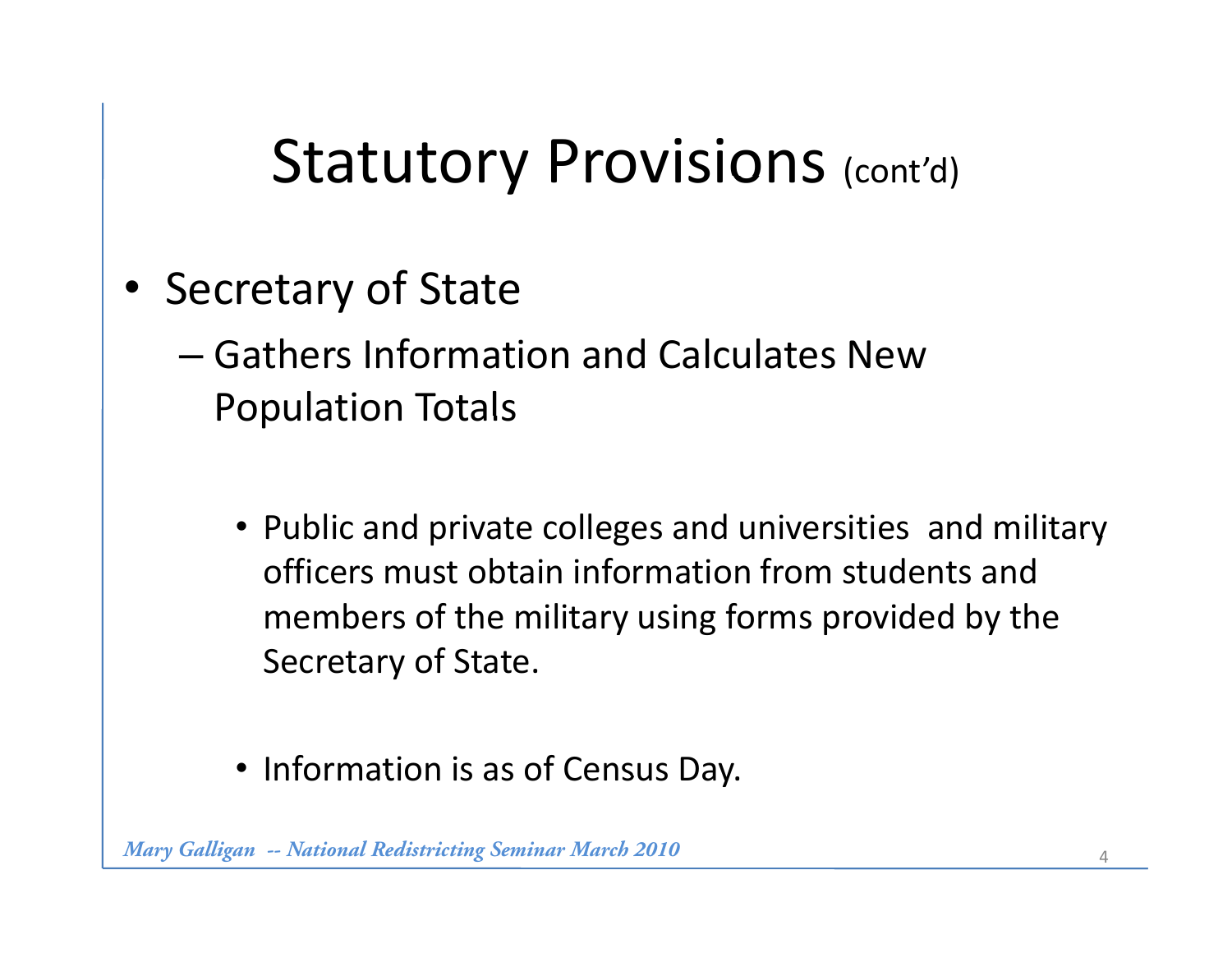## Statutory Provisions (cont'd)

- Secretary of State
	- Gathers Information and Calculates New **Population Totals** 
		- Public and private colleges and universities and military officers must obtain information from students and members of the military using forms provided by the Secretary of State.
		- Information is as of Census Day.

*Mary Galligan -- National Redistricting Seminar March 2010*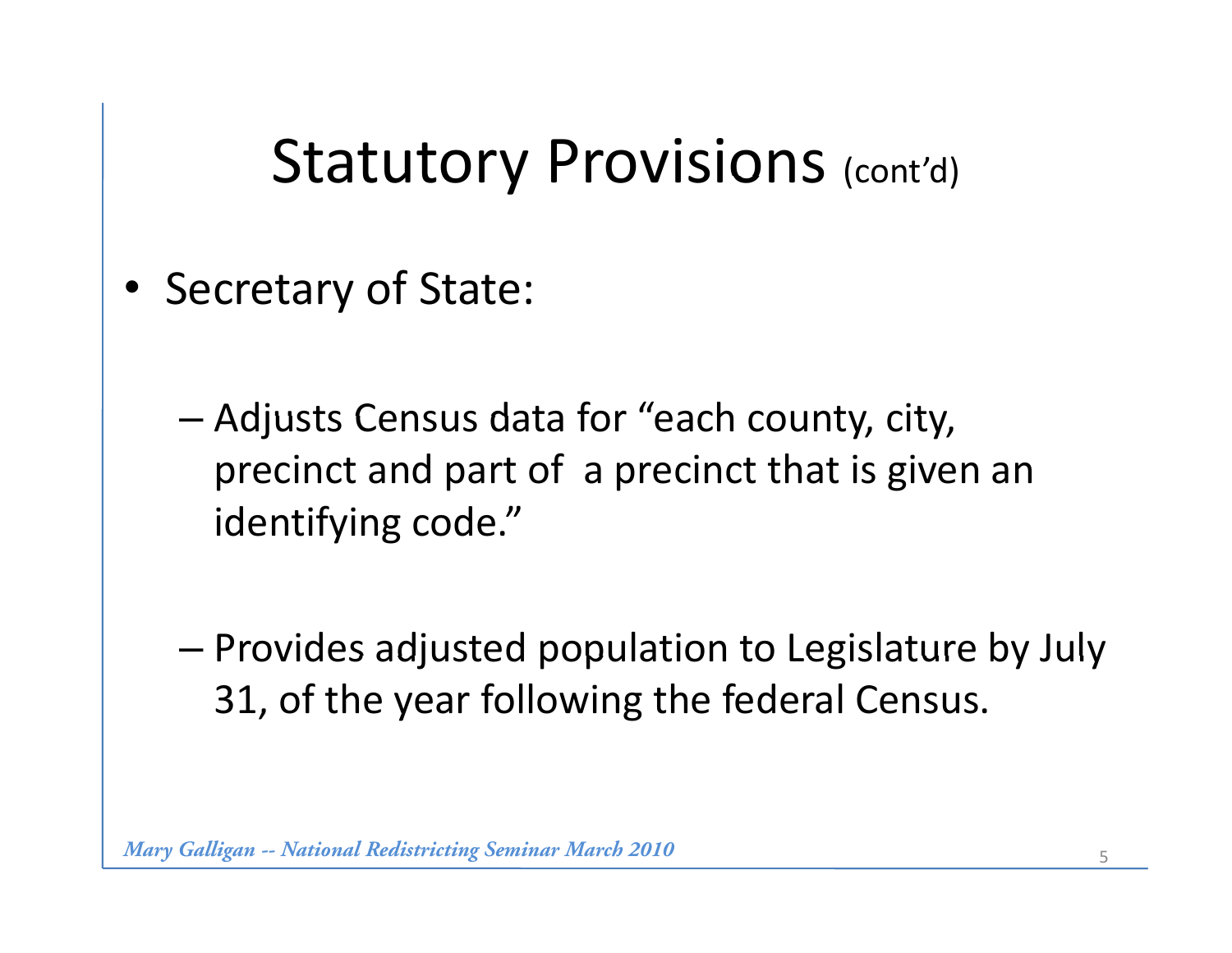#### Statutory Provisions (cont'd)

- • Secretary of State:
	- Adjusts Census data for "each county, city, precinct and part of a precinct that is given an identifying code. "
	- $-$  Provides adjusted population to Legislature by July 31, of the year following the federal Census.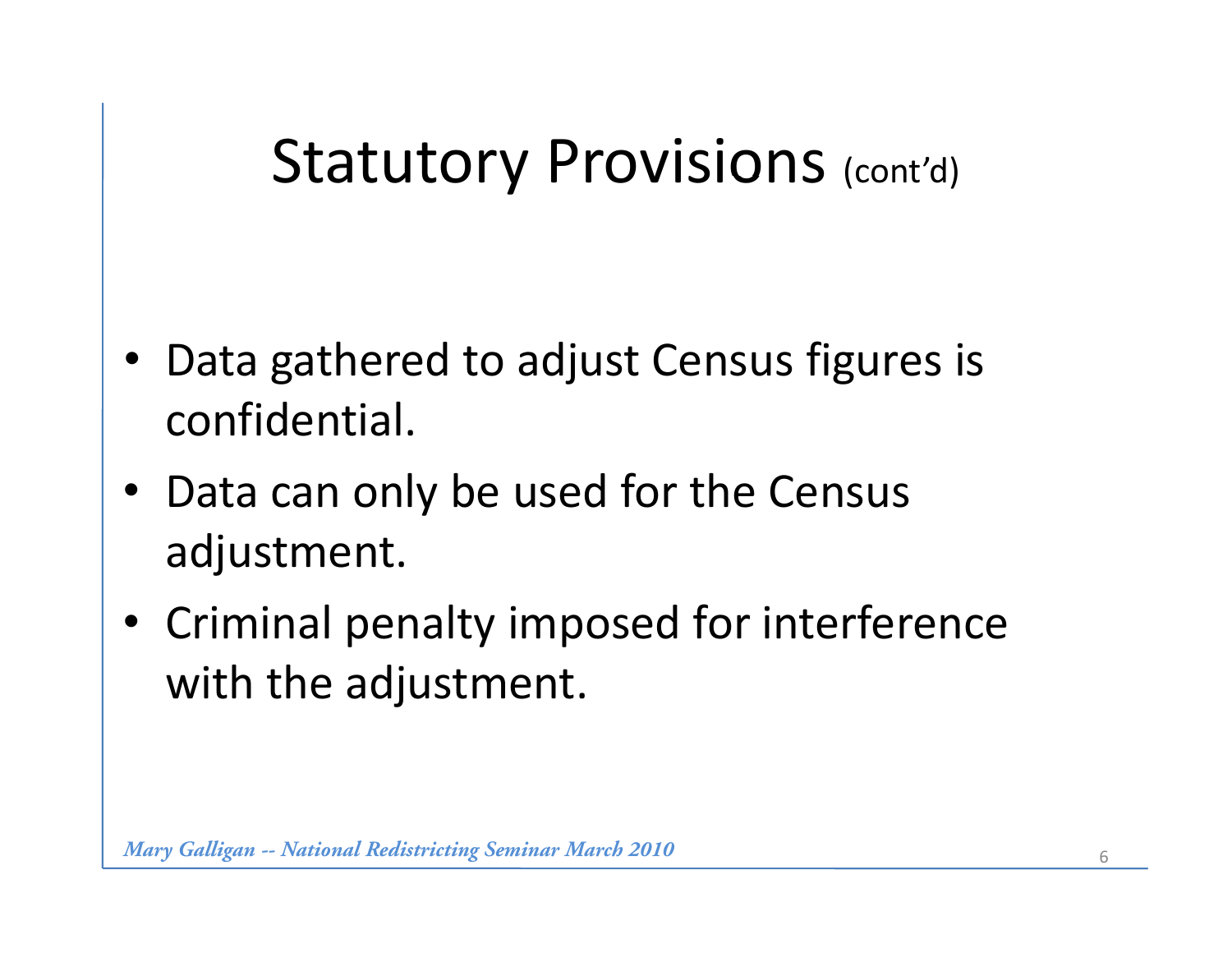## Statutory Provisions (cont'd)

- • Data gathered to adjust Census figures is confidential.
- Data can only be used for the Census adjustment.
- Criminal penalty imposed for interference with the adjustment.

*Mary Galligan -- National Redistricting Seminar March 2010*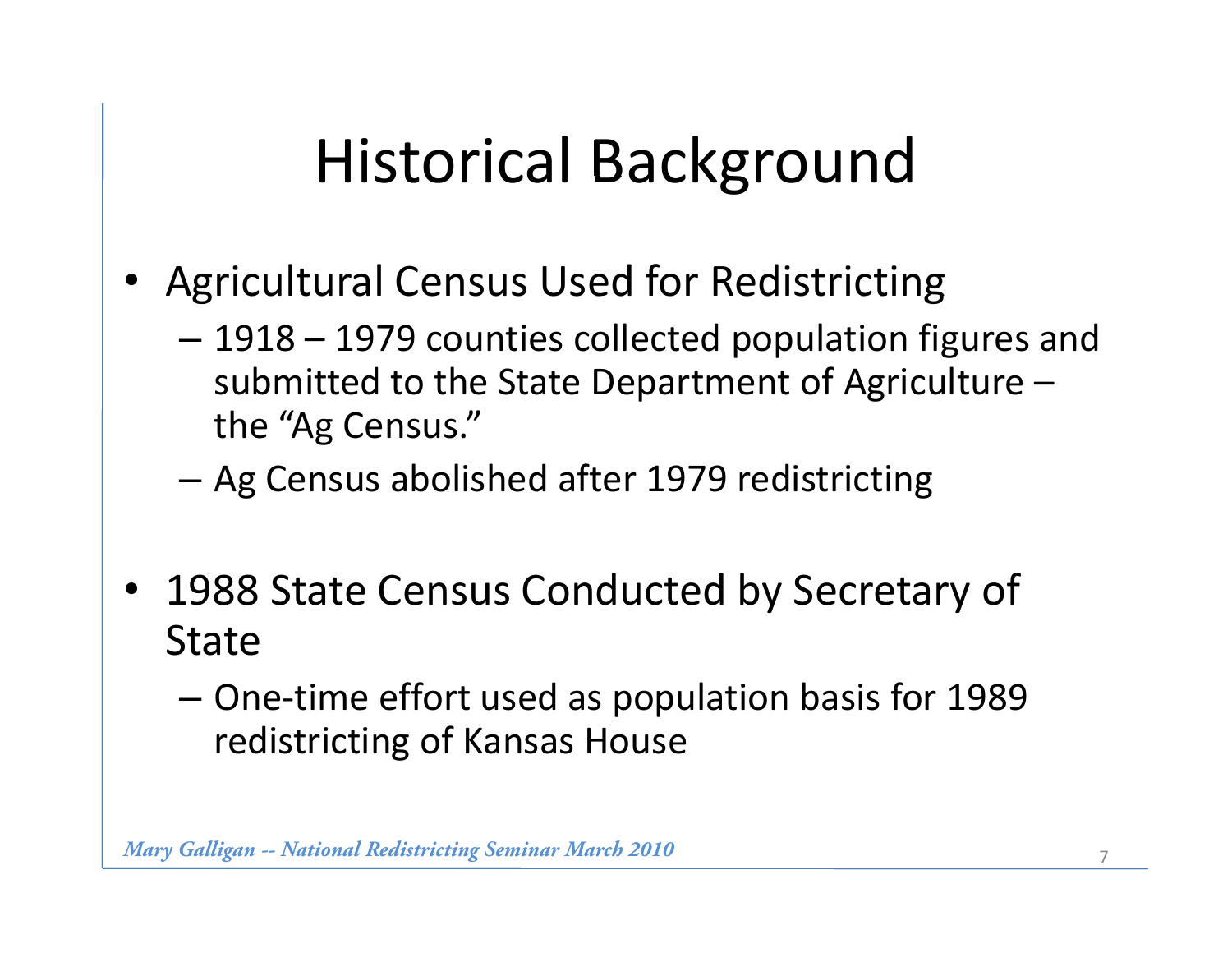# Historical Background

- •Agricultural Census Used for Redistricting
	- – 1918 – 1979 counties collected population figures and submitted to the State Department of Agriculture – the "Ag Census."
	- –Ag Census abolished after 1979 redistricting
- 1988 State Census Conducted by Secretary of State
	- One ‐time effort used as population basis for 1989 redistricting of Kansas House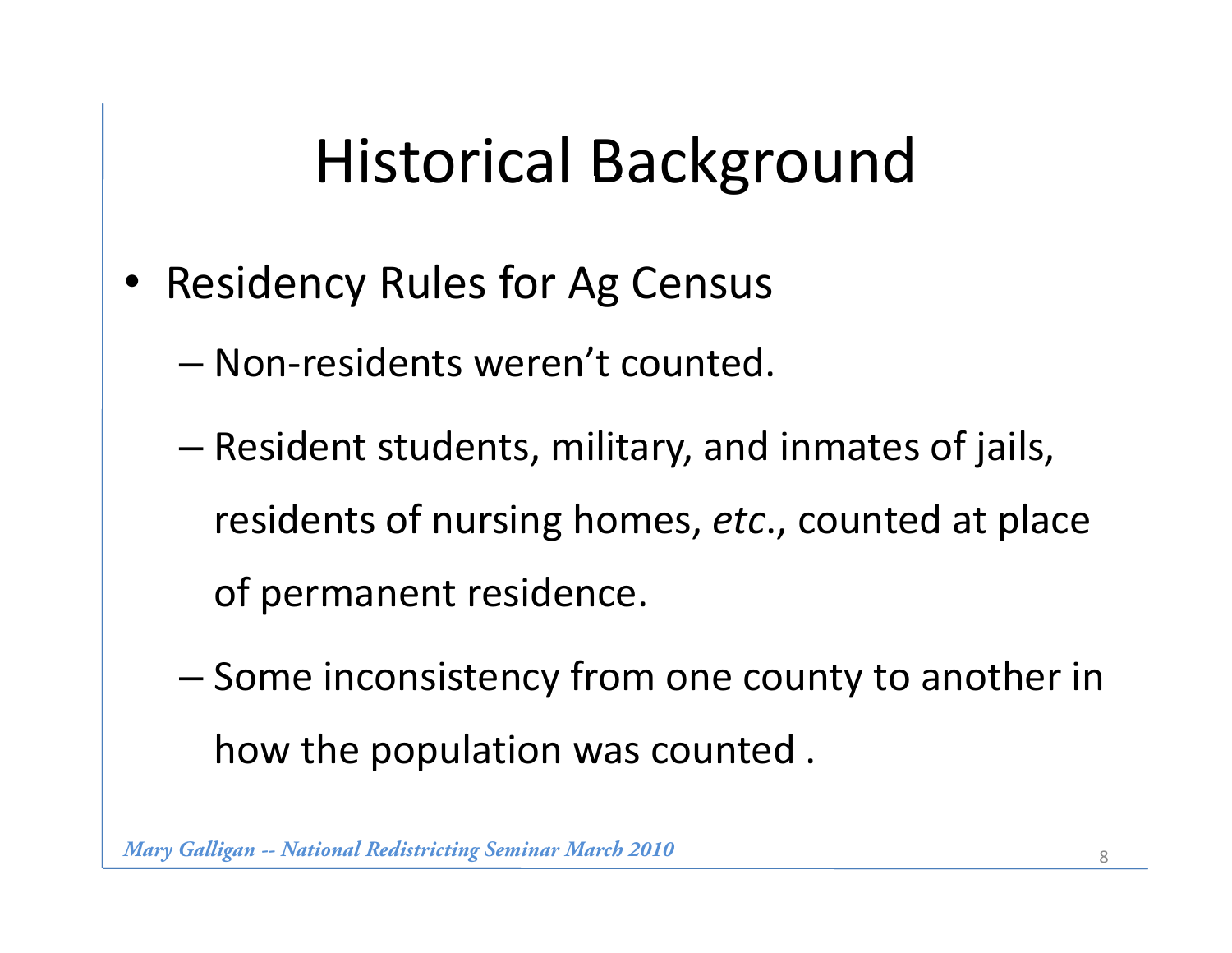# Historical Background

- • Residency Rules for Ag Census
	- Non ‐residents weren't counted.
	- Resident students, military, and inmates of jails, residents of nursing homes, etc., counted at place of permanent residence.
	- Some inconsistency from one county to another in how the population was counted .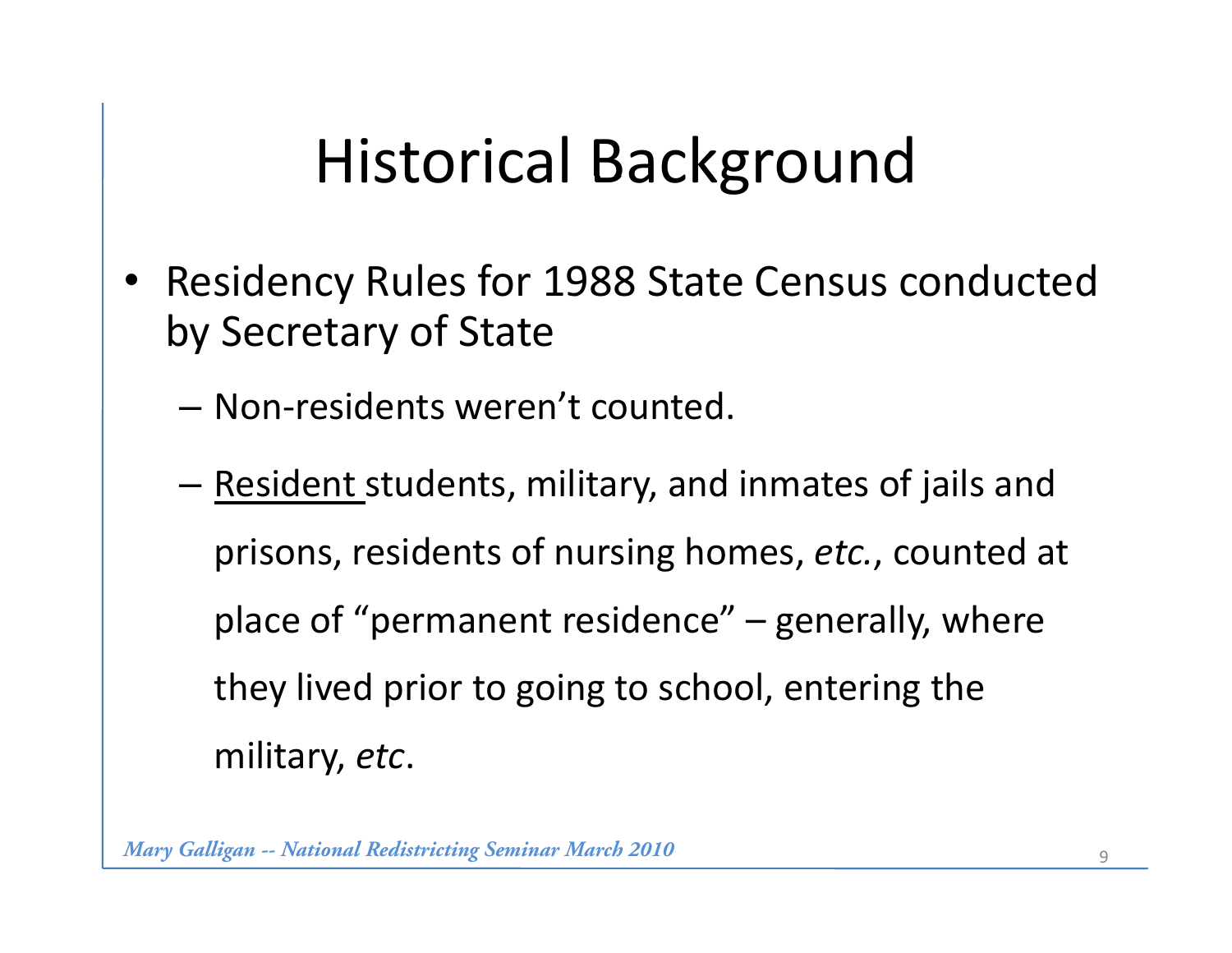# Historical Background

- •Residency Rules for 1988 State Census conducted by Secretary of State
	- $-$  Non-residents weren't counted.
	- –— <u>Resident students, military</u>, and inmates of jails and prisons, residents of nursing homes, *etc.*, counted at place of "permanent residence" – generally, where they lived prior to going to school, entering the militar y, *et c*.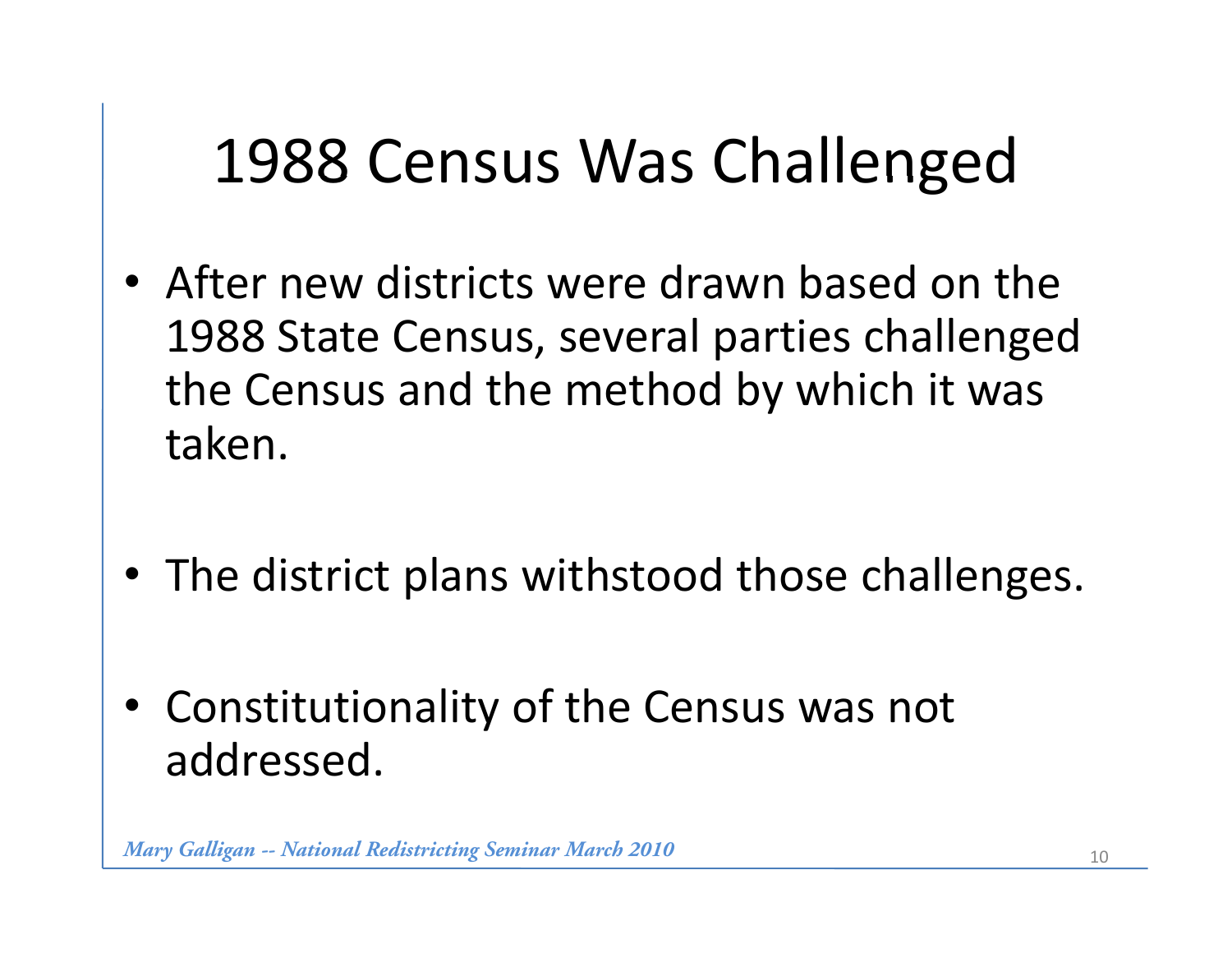# 1988 Census Was Challenged

- After new districts were drawn based on the 1988 State Census, several parties challenged the Census and the method by which it was taken.
- The district plans withstood those challenges.
- Constitutionality of the Census was not addressed.

*Mary Galligan -- National Redistricting Seminar March 2010* 10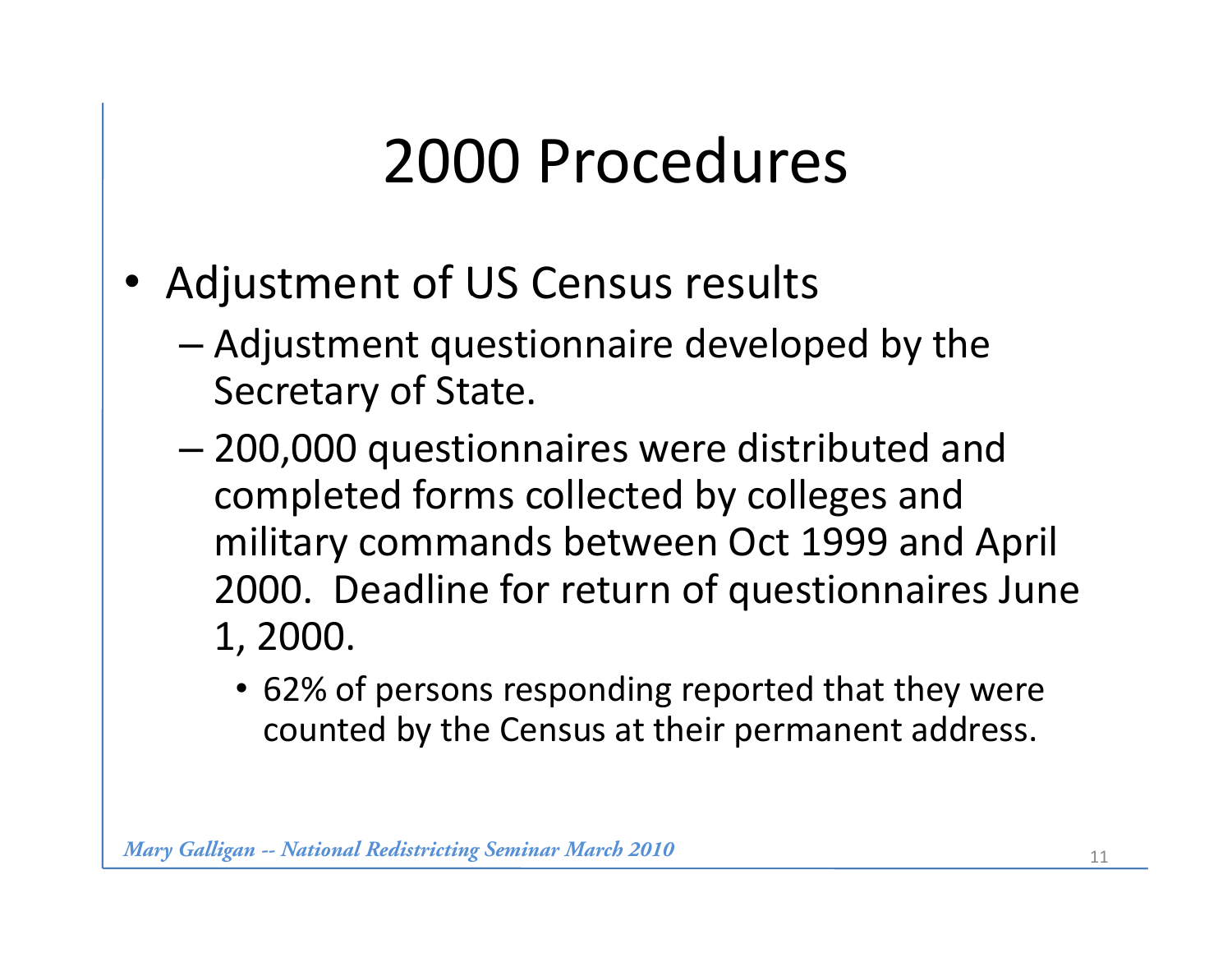# 2000 Procedures

- Adjustment of US Census results
	- Adjustment questionnaire developed by the Secretary of State.
	- 200,000 questionnaires were distributed and completed forms collected by colleges and military commands between Oct 1999 and April April 2000. Deadline for return of questionnaires June 1, 2000.
		- 62% of persons responding reported that they were counted by the Census at their permanent address.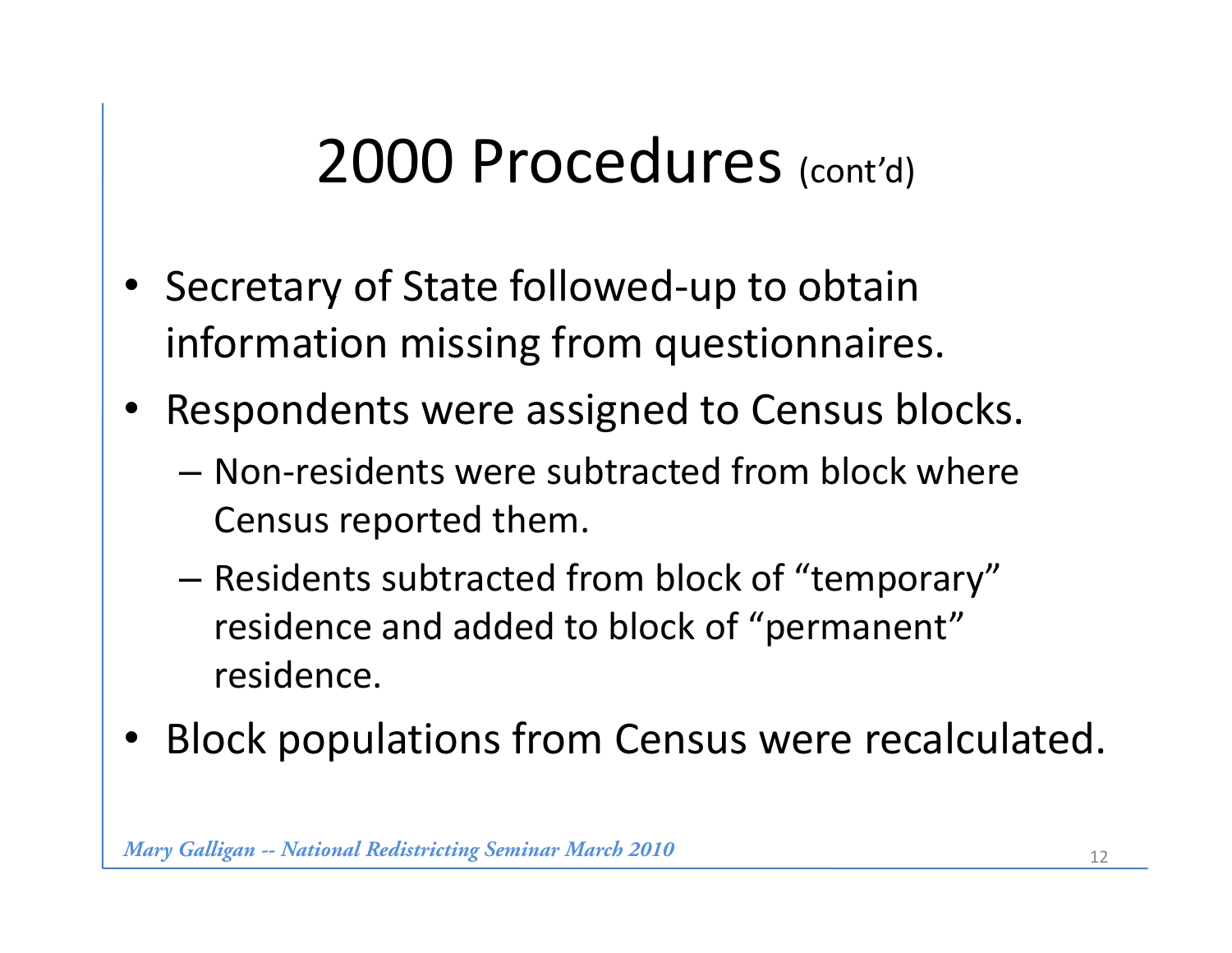## 2000 Procedures (cont'd)

- Secretary of State followed-up to obtain information missing from questionnaires.
- Respondents were assigned to Census blocks.
	- Non ‐residents were subtracted from block where Census re ported them.
	- – $-$  Residents subtracted from block of "temporary" residence and added to block of "permanent" residence.
- •Block populations from Census were recalculated.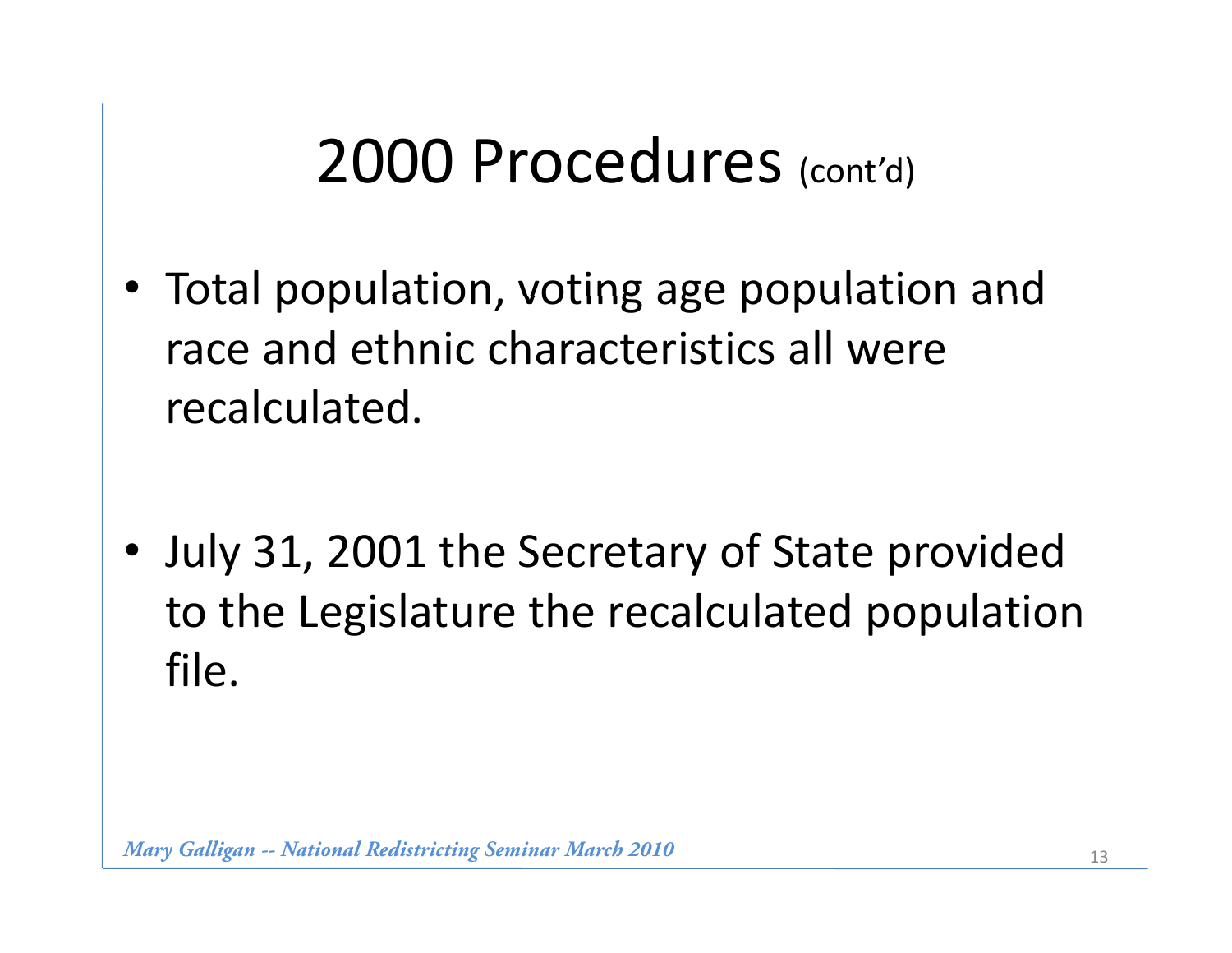## 2000 Procedures (cont'd)

• Total population, voting age population and race and ethnic characteristics all were recalculated.

• July 31, 2001 the Secretary of State provided to the Legislature the recalculated population file.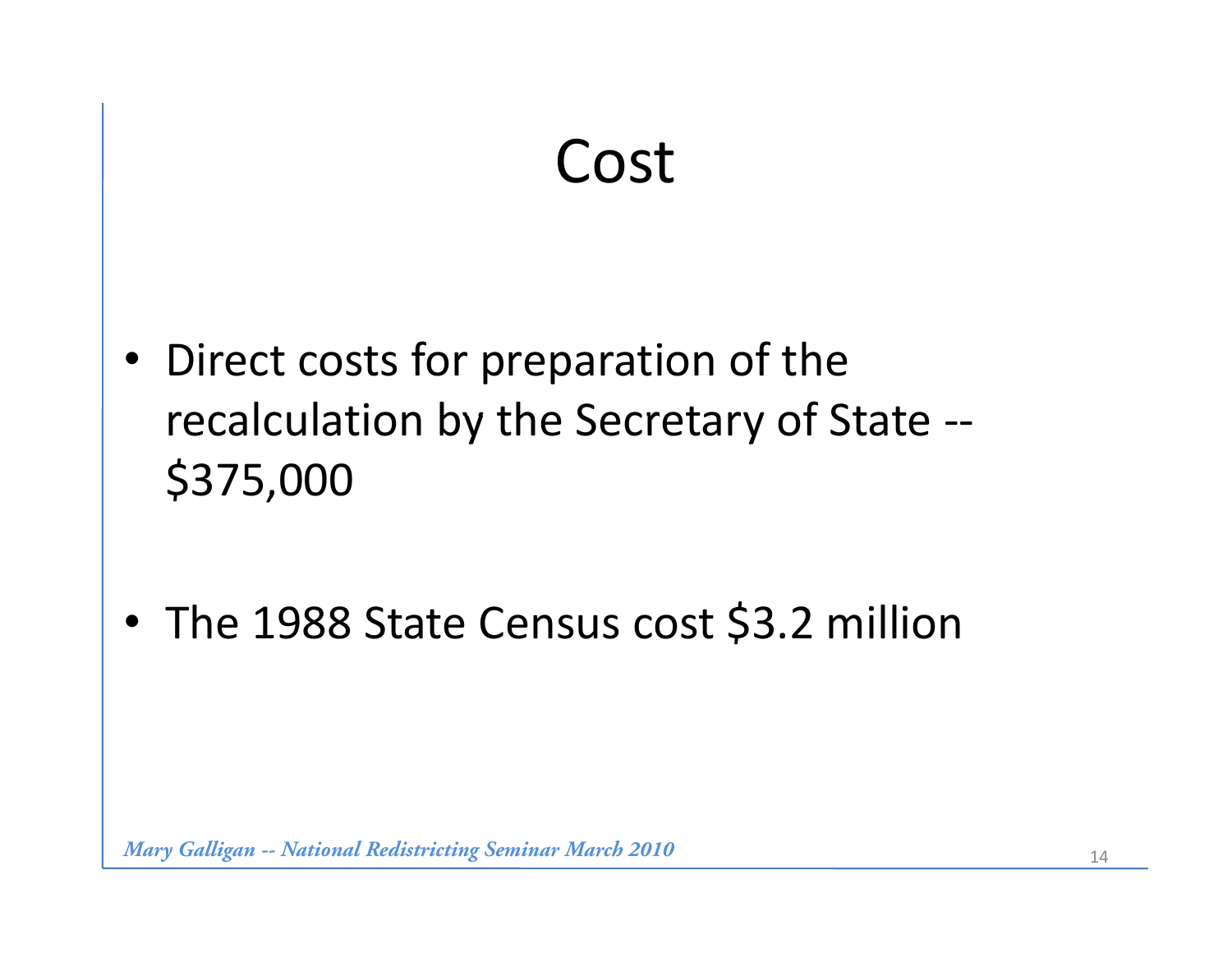#### Cost

• Direct costs for preparation of the recalculation by the Secretary of State ‐‐ \$375,000

•The 1988 State Census cost \$3.2 million

*Mary Galligan -- National Redistricting Seminar March 2010* 14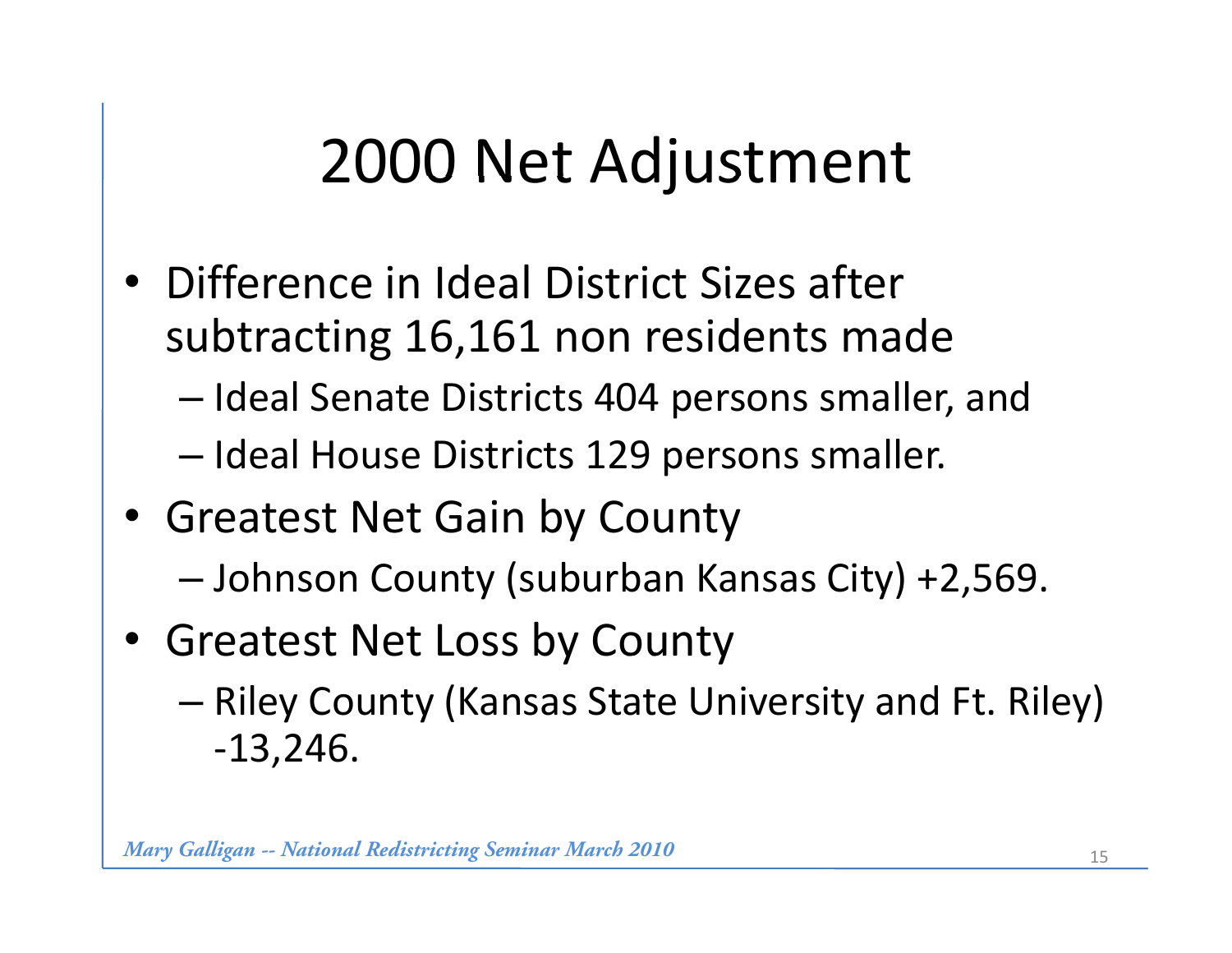# 2000 Net Adjustment

- Difference in Ideal District Sizes after subtracting 16,161 non residents made
	- Ideal Senate Districts 404 persons smaller, and
	- Ideal House Districts 129 persons smaller.
- Greatest Net Gain by County
	- Johnson County (suburban Kansas City) +2,569.
- Greatest Net Loss by County
	- Riley County (Kansas State University and Ft. Riley) ‐13,246.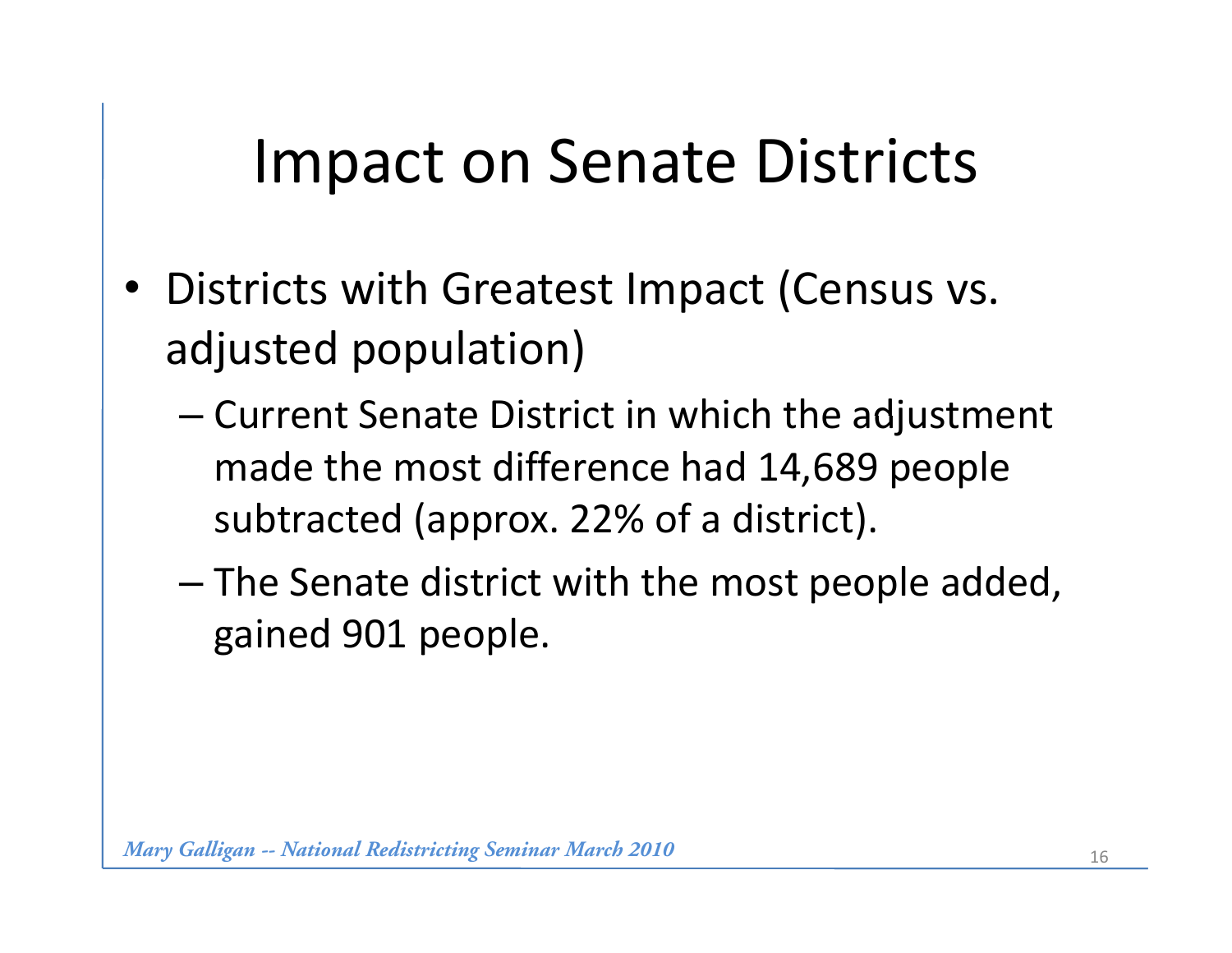## Impact on Senate Districts

- Districts with Greatest Impact (Census vs. adjusted population)
	- $-$  Current Senate District in which the adjustment made the most difference had 14,689 people subtracted (approx. 22% of a district).
	- The Senate district with the most people added, gained 901 people.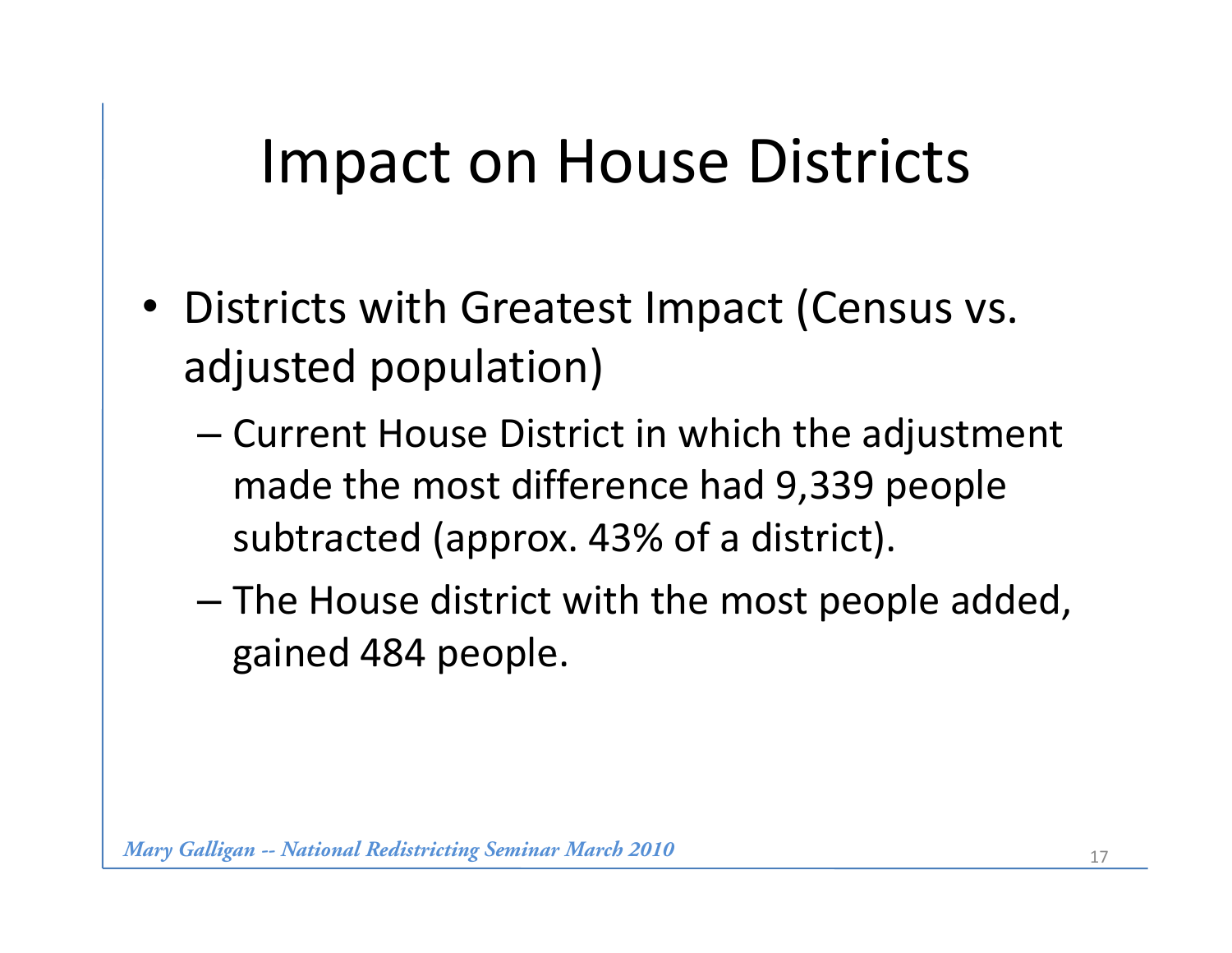# Impact on House Districts

- Districts with Greatest Impact (Census vs. adjusted population)
	- Current House District in which the adjustment made the most difference had 9,339 people subtracted (approx. 43% of a district).
	- The House district with the most people added, gained 484 people.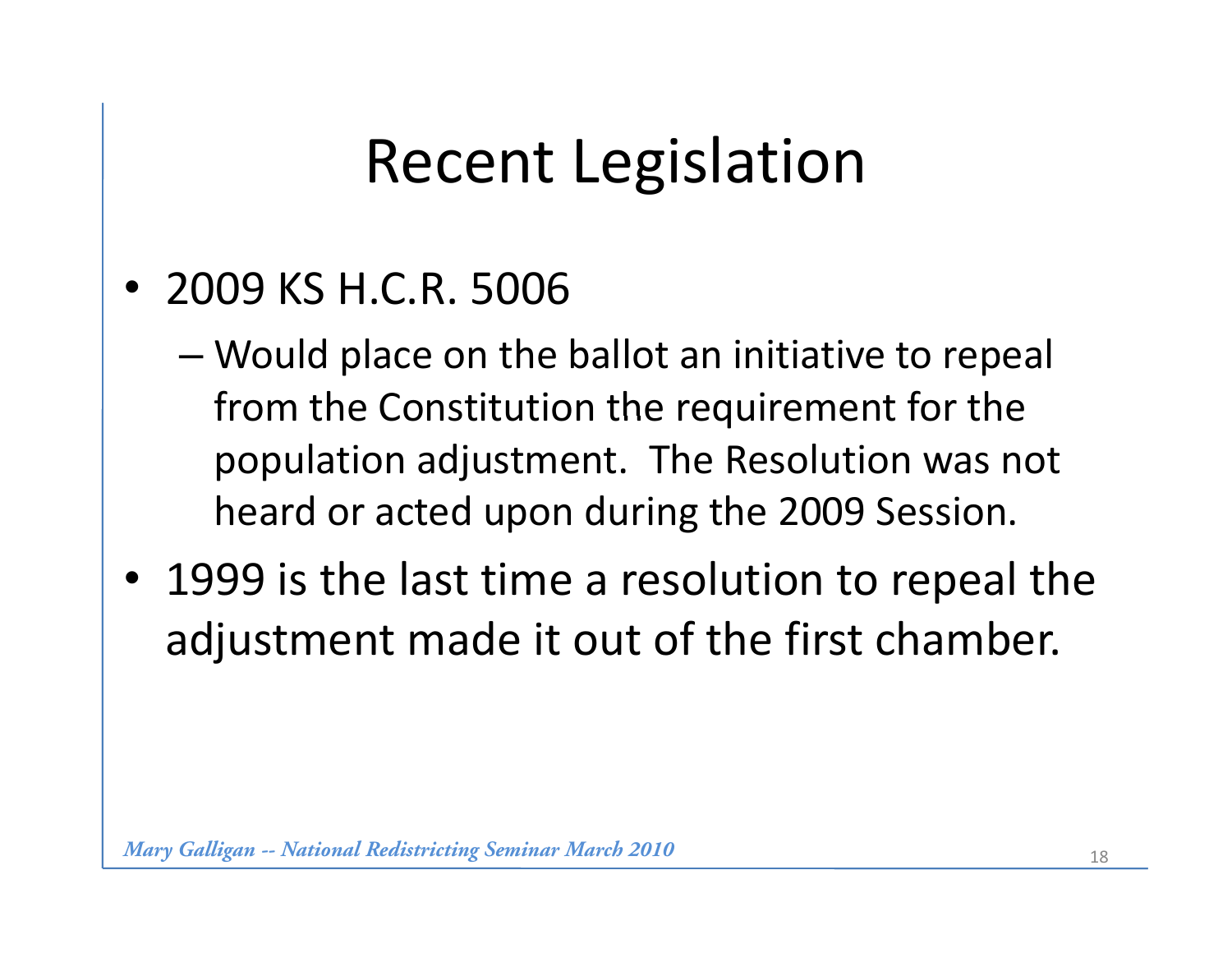# Recent Legislation

- 2009 KS H.C.R. 5006
	- Would place on the ballot an initiative to repeal from the Constitution the requirement for the population adjustment. The Resolution was not heard or acted upon during the 2009 Session.
- 1999 is the last time a resolution to repeal the ad justment made it out of the first chamber.